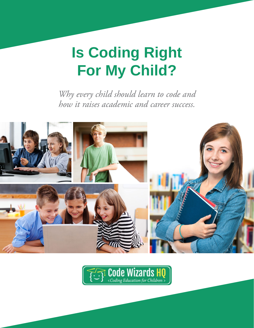# **Is Coding Right For My Child?**

*Why every child should learn to code and how it raises academic and career success.*



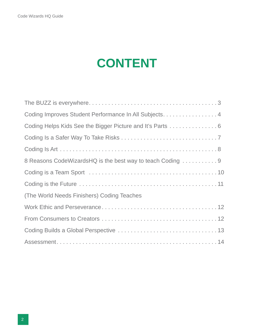### **CONTENT**

| Coding Improves Student Performance In All Subjects. 4    |
|-----------------------------------------------------------|
| Coding Helps Kids See the Bigger Picture and It's Parts 6 |
|                                                           |
|                                                           |
| 8 Reasons CodeWizardsHQ is the best way to teach Coding   |
|                                                           |
|                                                           |
| (The World Needs Finishers) Coding Teaches                |
|                                                           |
|                                                           |
|                                                           |
|                                                           |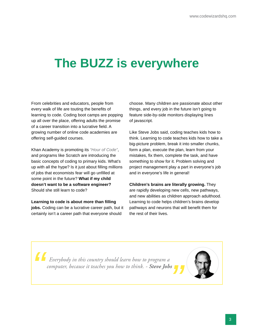### <span id="page-2-0"></span>**The BUZZ is everywhere**

From celebrities and educators, people from every walk of life are touting the benefits of learning to code. Coding boot camps are popping up all over the place, offering adults the promise of a career transition into a lucrative field. A growing number of online code academies are offering self-guided courses.

Khan Academy is promoting its *"Hour of Code"*, and programs like Scratch are introducing the basic concepts of coding to primary kids. What's up with all the hype? Is it just about filling millions of jobs that economists fear will go unfilled at some point in the future? **What if my child doesn't want to be a software engineer?** Should she still learn to code?

**Learning to code is about more than filling jobs.** Coding can be a lucrative career path, but it certainly isn't a career path that everyone should

choose. Many children are passionate about other things, and every job in the future isn't going to feature side-by-side monitors displaying lines of javascript.

Like Steve Jobs said, coding teaches kids how to think. Learning to code teaches kids how to take a big-picture problem, break it into smaller chunks, form a plan, execute the plan, learn from your mistakes, fix them, complete the task, and have something to show for it. Problem solving and project management play a part in everyone's job and in everyone's life in general!

**Children's brains are literally growing.** They are rapidly developing new cells, new pathways, and new abilities as children approach adulthood. Learning to code helps children's brains develop pathways and neurons that will benefit them for the rest of their lives.

*Everybody in this country should learn how to program a computer, because it teaches you how to think. - Steve Jobs*

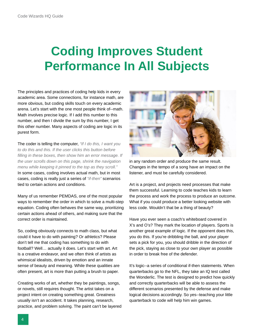### <span id="page-3-0"></span>**Coding Improves Student Performance In All Subjects**

The principles and practices of coding help kids in every academic area. Some connections, for instance math, are more obvious, but coding skills touch on every academic arena. Let's start with the one most people think of--math. Math involves precise logic. If I add this number to this number, and then I divide the sum by this number, I get this other number. Many aspects of coding are logic in its purest form.

The coder is telling the computer, *"If I do this, I want you to do this and this. If the user clicks this button before filling in these boxes, then show him an error message. If the user scrolls down on this page, shrink the navigation menu while keeping it pinned to the top as they scroll."* In some cases, coding involves actual math, but in most cases, coding is really just a series of *"if-then"* scenarios tied to certain actions and conditions.

Many of us remember PEMDAS, one of the most popular ways to remember the order in which to solve a multi-step equation. Coding often behaves the same way, prioritizing certain actions ahead of others, and making sure that the correct order is maintained.

So, coding obviously connects to math class, but what could it have to do with painting? Or athletics? Please don't tell me that coding has something to do with football? Well… actually it does. Let's start with art. Art is a creative endeavor, and we often think of artists as whimsical idealists, driven by emotion and an innate sense of beauty and meaning. While these qualities are often present, art is more than putting a brush to paper.

Creating works of art, whether they be paintings, songs, or novels, still requires thought. The artist takes on a project intent on creating something great. Greatness usually isn't an accident. It takes planning, research, practice, and problem solving. The paint can't be layered



in any random order and produce the same result. Changes in the tempo of a song have an impact on the listener, and must be carefully considered.

Art is a project, and projects need processes that make them successful. Learning to code teaches kids to learn the process and work the process to produce an outcome. What if you could produce a better looking website with less code. Wouldn't that be a thing of beauty?

Have you ever seen a coach's whiteboard covered in X's and O's? They mark the location of players. Sports is another great example of logic. If the opponent does this, you do this. If you're dribbling the ball, and your player sets a pick for you, you should dribble in the direction of the pick, staying as close to your own player as possible in order to break free of the defender.

It's logic--a series of conditional if-then statements. When quarterbacks go to the NFL, they take an IQ test called the Wonderlic. The test is designed to predict how quickly and correctly quarterbacks will be able to assess the different scenarios presented by the defense and make logical decisions accordingly. So yes--teaching your little quarterback to code will help him win games.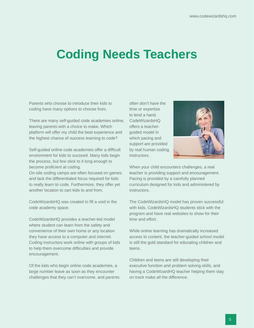### **Coding Needs Teachers**

Parents who choose to introduce their kids to coding have many options to choose from.

There are many self-guided code academies online, leaving parents with a choice to make. Which platform will offer my child the best experience and the highest chance of success learning to code?

Self-guided online code academies offer a difficult environment for kids to succeed. Many kids begin the process, but few stick to it long enough to become proficient at coding.

On-site coding camps are often focused on games and lack the differentiated focus required for kids to really learn to code. Furthermore, they offer yet another location to cart kids to and from.

CodeWizardsHQ was created to fill a void in the code academy space.

CodeWizardsHQ provides a teacher-led model where student can learn from the safety and convenience of their own home or any location they have access to a computer and internet. Coding instructors work online with groups of kids to help them overcome difficulties and provide encouragement.

Of the kids who begin online code academies, a large number leave as soon as they encounter challenges that they can't overcome, and parents often don't have the time or expertise to lend a hand. CodeWizardsHQ offers a teacherguided model in which pacing and support are provided by real human coding instructors.



When your child encounters challenges, a real teacher is providing support and encouragement. Pacing is provided by a carefully planned curriculum designed for kids and administered by **instructors** 

The CodeWizardsHQ model has proven successful with kids. CodeWizardsHQ students stick with the program and have real websites to show for their time and effort.

While online learning has dramatically increased access to content, the teacher-guided school model is still the gold standard for educating children and teens.

Children and teens are still developing their executive function and problem solving skills, and having a CodeWizardHQ teacher helping them stay on track make all the difference.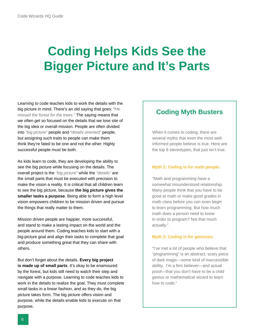### <span id="page-5-0"></span>**Coding Helps Kids See the Bigger Picture and It's Parts**

Learning to code teaches kids to work the details with the big picture in mind. There's an old saying that goes: "*He missed the forest for the trees."* The saying means that we often get so focused on the details that we lose site of the big idea or overall mission. People are often divided into *"big picture"* people and *"details oriented"* people, but assigning such traits to people can make them think they're fated to be one and not the other. Highly successful people must be both.

As kids learn to code, they are developing the ability to see the big picture while focusing on the details. The overall project is the *"big picture"* while the *"details"* are the small parts that must be executed with precision to make the vision a reality. It is critical that all children learn to see the big picture, because **the big picture gives the smaller tasks a purpose**. Being able to form a high level vision empowers children to be mission driven and pursue the things that really matter to them.

Mission driven people are happier, more successful, and stand to make a lasting impact on the world and the people around them. Coding teaches kids to start with a big-picture goal and align their tasks to complete that goal and produce something great that they can share with others.

But don't forget about the details. **Every big project is made up of small parts**. It's okay to be enamoured by the forest, but kids still need to watch their step and navigate with a purpose. Learning to code teaches kids to work in the details to realize the goal. They must complete small tasks in a linear fashion, and as they do, the big picture takes form. The big picture offers vision and purpose, while the details enable kids to execute on that purpose.

### **Coding Myth Busters**

When it comes to coding, there are several myths that even the most wellinformed people believe is true. Here are the top 6 stereotypes, that just isn't true.

#### **Myth 1: Coding is for math people.**

"Math and programming have a somewhat misunderstood relationship. Many people think that you have to be good at math or make good grades in math class before you can even begin to learn programming. But how much math does a person need to know in order to program? Not that much actually."

#### **Myth 2: Coding is for geniuses.**

"I've met a lot of people who believe that "programming" is an abstract, scary piece of dark magic—some kind of inaccessible ability. I'm a firm believer—and actual proof—that you don't have to be a child genius or mathematical wizard to learn how to code."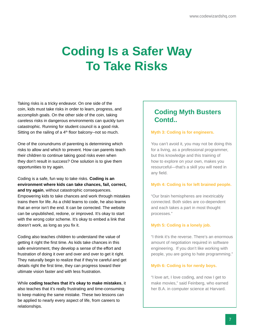### <span id="page-6-0"></span>**Coding Is a Safer Way To Take Risks**

Taking risks is a tricky endeavor. On one side of the coin, kids must take risks in order to learn, progress, and accomplish goals. On the other side of the coin, taking careless risks in dangerous environments can quickly turn catastrophic. Running for student council is a good risk. Sitting on the railing of a  $4<sup>th</sup>$  floor balcony--not so much.

One of the conundrums of parenting is determining which risks to allow and which to prevent. How can parents teach their children to continue taking good risks even when they don't result in success? One solution is to give them opportunities to try again.

Coding is a safe, fun way to take risks. **Coding is an environment where kids can take chances, fail, correct, and try again**, without catastrophic consequences. Empowering kids to take chances and work through mistakes trains them for life. As a child learns to code, he also learns that an error isn't the end. It can be corrected. The website can be unpublished, redone, or improved. It's okay to start with the wrong color scheme. It's okay to embed a link that doesn't work, as long as you fix it.

Coding also teaches children to understand the value of getting it right the first time. As kids take chances in this safe environment, they develop a sense of the effort and frustration of doing it over and over and over to get it right. They naturally begin to realize that if they're careful and get details right the first time, they can progress toward their ultimate vision faster and with less frustration.

While **coding teaches that it's okay to make mistakes**, it also teaches that it's really frustrating and time-consuming to keep making the same mistake. These two lessons can be applied to nearly every aspect of life, from careers to relationships.

### **Coding Myth Busters Contd..**

#### **Myth 3: Coding is for engineers.**

You can't avoid it, you may not be doing this for a living, as a professional programmer, but this knowledge and this training of how to explore on your own, makes you resourceful—that's a skill you will need in any field.

#### **Myth 4: Coding is for left brained people.**

"Our brain hemispheres are inextricably connected. Both sides are co-dependent and each takes a part in most thought processes."

#### **Myth 5: Coding is a lonely job.**

"I think it's the reverse. There's an enormous amount of negotiation required in software engineering. If you don't like working with people, you are going to hate programming."

#### **Myth 6: Coding is for nerdy boys.**

"I love art, I love coding, and now I get to make movies," said Feinberg, who earned her B.A. in computer science at Harvard.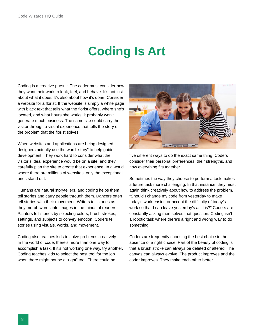### **Coding Is Art**

<span id="page-7-0"></span>Coding is a creative pursuit. The coder must consider how they want their work to look, feel, and behave. It's not just about what it does. It's also about how it's done. Consider a website for a florist. If the website is simply a white page with black text that tells what the florist offers, where she's located, and what hours she works, it probably won't generate much business. The same site could carry the visitor through a visual experience that tells the story of the problem that the florist solves.

When websites and applications are being designed, designers actually use the word "story" to help guide development. They work hard to consider what the visitor's ideal experience would be on a site, and they carefully plan the site to create that experience. In a world where there are millions of websites, only the exceptional ones stand out.

Humans are natural storytellers, and coding helps them tell stories and carry people through them. Dancers often tell stories with their movement. Writers tell stories as they morph words into images in the minds of readers. Painters tell stories by selecting colors, brush strokes, settings, and subjects to convey emotion. Coders tell stories using visuals, words, and movement.

Coding also teaches kids to solve problems creatively. In the world of code, there's more than one way to accomplish a task. If it's not working one way, try another. Coding teaches kids to select the best tool for the job when there might not be a "right" tool. There could be



five different ways to do the exact same thing. Coders consider their personal preferences, their strengths, and how everything fits together.

Sometimes the way they choose to perform a task makes a future task more challenging. In that instance, they must again think creatively about how to address the problem. "Should I change my code from yesterday to make today's work easier, or accept the difficulty of today's work so that I can leave yesterday's as it is?" Coders are constantly asking themselves that question. Coding isn't a robotic task where there's a right and wrong way to do something.

Coders are frequently choosing the best choice in the absence of a right choice. Part of the beauty of coding is that a brush stroke can always be deleted or altered. The canvas can always evolve. The product improves and the coder improves. They make each other better.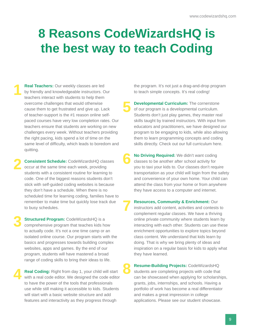### <span id="page-8-0"></span>**8 Reasons CodeWizardsHQ is the best way to teach Coding**

**8**

**Real Teachers:** Our weekly classes are led by friendly and knowledgeable instructors. Our teachers interact with students to help them overcome challenges that would otherwise cause them to get frustrated and give up. Lack of teacher-support is the #1 reason online selfpaced courses have very low completion rates. Our teachers ensure that students are working on new challenges every week. Without teachers providing the right pacing, kids spend a lot of time on the same level of difficulty, which leads to boredom and quitting. **1**

**Consistent Schedule:** CodeWizardsHQ classes occur at the same time each week, providing students with a consistent routine for learning to code. One of the biggest reasons students don't stick with self-guided coding websites is because they don't have a schedule. When there is no scheduled time for learning coding, families have to remember to make time but quickly lose track due to busy schedules. **2**

**Structured Program: CodeWizardsHQ is a** comprehensive program that teaches kids how to actually code. It's not a one time camp or an isolated online course. Our program starts with the basics and progresses towards building complex websites, apps and games. By the end of our program, students will have mastered a broad range of coding skills to bring their ideas to life. **3**

**Real Coding:** Right from day 1, your child will start with a real code editor. We designed the code editor to have the power of the tools that professionals use while still making it accessible to kids. Students will start with a basic website structure and add features and interactivity as they progress through **4**

the program. It's not just a drag-and-drop program to teach simple concepts. It's real coding!

- **Developmental Curriculum:** The cornerstone of our program is a developmental curriculum. Students don't just play games, they master real skills taught by trained instructors. With input from educators and practitioners, we have designed our program to be engaging to kids, while also allowing them to learn programming concepts and coding skills directly. Check out our full curriculum here. **5**
- **No Driving Required:** We didn't want coding classes to be another after school activity for you to taxi your kids to. Our classes don't require transportation as your child will login from the safety and convenience of your own home. Your child can attend the class from your home or from anywhere they have access to a computer and internet. **6**
- **Resources, Community & Enrichment:** Our instructors add content, activities and contests to complement regular classes. We have a thriving online private community where students learn by interacting with each other. Students can use these enrichment opportunities to explore topics beyond class content. We understand that kids learn by doing. That is why we bring plenty of ideas and inspiration on a regular basis for kids to apply what they have learned. **7**
	- **Resume-Building Projects:** CodeWizardsHQ students are completing projects with code that can be showcased when applying for scholarships, grants, jobs, internships, and schools. Having a portfolio of work has become a real differentiator and makes a great impression in college applications. Please see our student showcase.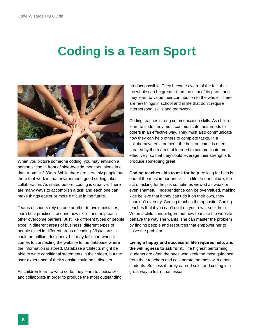### <span id="page-9-0"></span>**Coding is a Team Sport**



When you picture someone coding, you may envision a person sitting in front of side-by-side monitors, alone in a dark room at 3:30am. While there are certainly people out there that work in that environment, good coding takes collaboration. As stated before, coding is creative. There are many ways to accomplish a task and each one can make things easier or more difficult in the future.

Teams of coders rely on one another to avoid mistakes, learn best practices, acquire new skills, and help each other overcome barriers. Just like different types of people excel in different areas of business, different types of people excel in different areas of coding. Visual artists could be brilliant designers, but may fall short when it comes to connecting the website to the database where the information is stored. Database architects might be able to write conditional statements in their sleep, but the user-experience of their website could be a disaster.

As children learn to write code, they learn to specialize and collaborate in order to produce the most outstanding product possible. They become aware of the fact that the whole can be greater than the sum of its parts, and they learn to value their contribution to the whole. There are few things in school and in life that don't require interpersonal skills and teamwork.

Coding teaches strong communication skills. As children learn to code, they must communicate their needs to others in an effective way. They must also communicate how they can help others to complete tasks. In a collaborative environment, the best outcome is often created by the team that learned to communicate most effectively, so that they could leverage their strengths to produce something great.

**Coding teaches kids to ask for help.** Asking for help is one of the most important skills in life. In our culture, the act of asking for help is sometimes viewed as weak or even shameful. Independence can be overvalued, making kids believe that if they can't do it on their own, they shouldn't even try. Coding teaches the opposite. Coding teaches that if you can't do it on your own, seek help. When a child cannot figure out how to make the website behave the way she wants, she can master the problem by finding people and resources that empower her to solve the problem.

**Living a happy and successful life requires help, and the willingness to ask for it.** The highest performing students are often the ones who seek the most guidance from their teachers and collaborate the most with other students. Success if rarely earned solo, and coding is a great way to learn that lesson.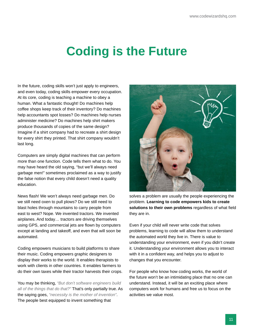### <span id="page-10-0"></span>**Coding is the Future**

In the future, coding skills won't just apply to engineers, and even today, coding skills empower every occupation. At its core, coding is teaching a machine to obey a human. What a fantastic thought! Do machines help coffee shops keep track of their inventory? Do machines help accountants spot losses? Do machines help nurses administer medicine? Do machines help shirt makers produce thousands of copies of the same design? Imagine if a shirt company had to recreate a shirt design for every shirt they printed. That shirt company wouldn't last long.

Computers are simply digital machines that can perform more than one function. Code tells them what to do. You may have heard the old saying, "but we'll always need garbage men!" sometimes proclaimed as a way to justify the false notion that every child doesn't need a quality education.

News flash! We won't always need garbage men. Do we still need oxen to pull plows? Do we still need to blast holes through mountains to carry people from east to west? Nope. We invented tractors. We invented airplanes. And today… tractors are driving themselves using GPS, and commercial jets are flown by computers except at landing and takeoff, and even that will soon be automated.

Coding empowers musicians to build platforms to share their music. Coding empowers graphic designers to display their works to the world. It enables therapists to work with clients in other countries. It enables farmers to do their own taxes while their tractor harvests their crops.

You may be thinking, *"But don't software engineers build all of the things that do that?"* That's only partially true. As the saying goes, *"necessity is the mother of invention"*. The people best equipped to invent something that



solves a problem are usually the people experiencing the problem. **Learning to code empowers kids to create solutions to their own problems** regardless of what field they are in.

Even if your child will never write code that solves problems, learning to code will allow them to understand the automated world they live in. There is value to understanding your environment, even if you didn't create it. Understanding your environment allows you to interact with it in a confident way, and helps you to adjust to changes that you encounter.

For people who know how coding works, the world of the future won't be an intimidating place that no one can understand. Instead, it will be an exciting place where computers work for humans and free us to focus on the activities we value most.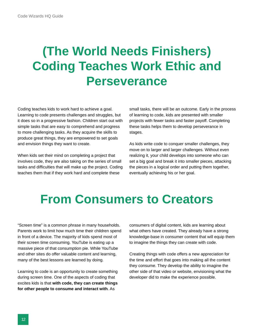## <span id="page-11-0"></span>**(The World Needs Finishers) Coding Teaches Work Ethic and Perseverance**

Coding teaches kids to work hard to achieve a goal. Learning to code presents challenges and struggles, but it does so in a progressive fashion. Children start out with simple tasks that are easy to comprehend and progress to more challenging tasks. As they acquire the skills to produce great things, they are empowered to set goals and envision things they want to create.

When kids set their mind on completing a project that involves code, they are also taking on the series of small tasks and difficulties that will make up the project. Coding teaches them that if they work hard and complete these

small tasks, there will be an outcome. Early in the process of learning to code, kids are presented with smaller projects with fewer tasks and faster payoff. Completing these tasks helps them to develop perseverance in stages.

As kids write code to conquer smaller challenges, they move on to larger and larger challenges. Without even realizing it, your child develops into someone who can set a big goal and break it into smaller pieces, attacking the pieces in a logical order and putting them together, eventually achieving his or her goal.

### **From Consumers to Creators**

"Screen time" is a common phrase in many households. Parents work to limit how much time their children spend in front of a device. The majority of kids spend most of their screen time consuming. YouTube is eating up a massive piece of that consumption pie. While YouTube and other sites do offer valuable content and learning, many of the best lessons are learned by doing.

Learning to code is an opportunity to create something during screen time. One of the aspects of coding that excites kids is that **with code, they can create things for other people to consume and interact with**. As

consumers of digital content, kids are learning about what others have created. They already have a strong knowledge-base in consumer content that will equip them to imagine the things they can create with code.

Creating things with code offers a new appreciation for the time and effort that goes into making all the content they consume. They develop the ability to imagine the other side of that video or website, envisioning what the developer did to make the experience possible.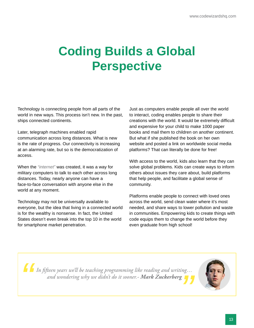## <span id="page-12-0"></span>**Coding Builds a Global Perspective**

Technology is connecting people from all parts of the world in new ways. This process isn't new. In the past, ships connected continents.

Later, telegraph machines enabled rapid communication across long distances. What is new is the rate of progress. Our connectivity is increasing at an alarming rate, but so is the democratization of access.

When the *"internet"* was created, it was a way for military computers to talk to each other across long distances. Today, nearly anyone can have a face-to-face conversation with anyone else in the world at any moment.

Technology may not be universally available to everyone, but the idea that living in a connected world is for the wealthy is nonsense. In fact, the United States doesn't even break into the top 10 in the world for smartphone market penetration.

Just as computers enable people all over the world to interact, coding enables people to share their creations with the world. It would be extremely difficult and expensive for your child to make 1000 paper books and mail them to children on another continent. But what if she published the book on her own website and posted a link on worldwide social media platforms? That can literally be done for free!

With access to the world, kids also learn that they can solve global problems. Kids can create ways to inform others about issues they care about, build platforms that help people, and facilitate a global sense of community.

Platforms enable people to connect with loved ones across the world, send clean water where it's most needed, and share ways to lower pollution and waste in communities. Empowering kids to create things with code equips them to change the world before they even graduate from high school!

*In fifteen years we'll be teaching programming like reading and writing… and wondering why we didn't do it sooner.- Mark Zuckerberg*

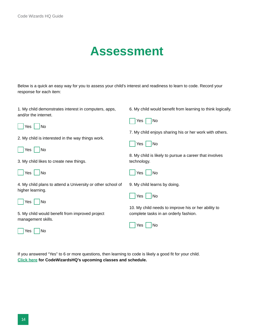### **Assessment**

<span id="page-13-0"></span>Below is a quick an easy way for you to assess your child's interest and readiness to learn to code. Record your response for each item:

| 1. My child demonstrates interest in computers, apps,<br>and/or the internet.   | 6. My child would benefit from learning to think logically.           |
|---------------------------------------------------------------------------------|-----------------------------------------------------------------------|
| Yes<br>No                                                                       | Yes<br>No                                                             |
|                                                                                 | 7. My child enjoys sharing his or her work with others.               |
| 2. My child is interested in the way things work.                               | Yes<br>No                                                             |
| Yes<br>No                                                                       |                                                                       |
| 3. My child likes to create new things.                                         | 8. My child is likely to pursue a career that involves<br>technology. |
| Yes<br>No                                                                       | No<br>Yes                                                             |
| 4. My child plans to attend a University or other school of<br>higher learning. | 9. My child learns by doing.                                          |
| Yes<br>No                                                                       | No<br>Yes                                                             |
|                                                                                 | 10. My child needs to improve his or her ability to                   |
| 5. My child would benefit from improved project<br>management skills.           | complete tasks in an orderly fashion.                                 |
|                                                                                 | No<br>Yes                                                             |
| No<br>Yes                                                                       |                                                                       |

If you answered "Yes" to 6 or more questions, then learning to code is likely a good fit for your child. **[Click here](http://www.codewizardshq.com/) for CodeWizardsHQ's upcoming classes and schedule.**